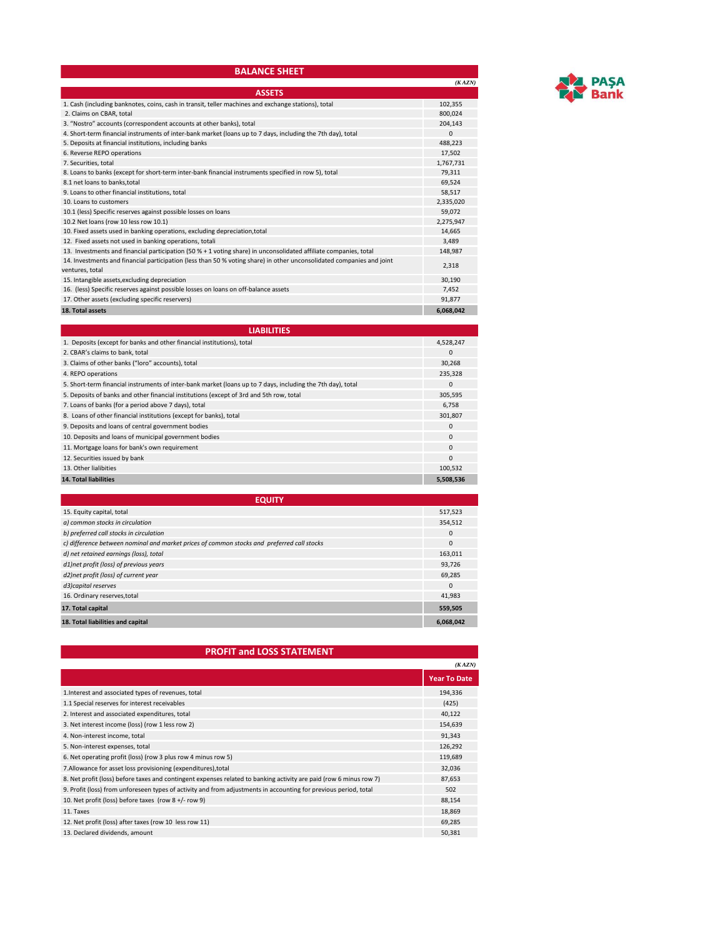| <b>BALANCE SHEET</b>                                                                                                                     |              |  |
|------------------------------------------------------------------------------------------------------------------------------------------|--------------|--|
|                                                                                                                                          | (KAZN)       |  |
| <b>ASSETS</b>                                                                                                                            |              |  |
| 1. Cash (including banknotes, coins, cash in transit, teller machines and exchange stations), total                                      | 102.355      |  |
| 2. Claims on CBAR, total                                                                                                                 | 800.024      |  |
| 3. "Nostro" accounts (correspondent accounts at other banks), total                                                                      | 204.143      |  |
| 4. Short-term financial instruments of inter-bank market (loans up to 7 days, including the 7th day), total                              | $\mathbf{0}$ |  |
| 5. Deposits at financial institutions, including banks                                                                                   | 488.223      |  |
| 6. Reverse REPO operations                                                                                                               | 17.502       |  |
| 7. Securities, total                                                                                                                     | 1,767,731    |  |
| 8. Loans to banks (except for short-term inter-bank financial instruments specified in row 5), total                                     | 79,311       |  |
| 8.1 net loans to banks, total                                                                                                            | 69,524       |  |
| 9. Loans to other financial institutions, total                                                                                          | 58,517       |  |
| 10. Loans to customers                                                                                                                   | 2,335,020    |  |
| 10.1 (less) Specific reserves against possible losses on loans                                                                           | 59,072       |  |
| 10.2 Net loans (row 10 less row 10.1)                                                                                                    | 2,275,947    |  |
| 10. Fixed assets used in banking operations, excluding depreciation, total                                                               | 14,665       |  |
| 12. Fixed assets not used in banking operations, totali                                                                                  | 3,489        |  |
| 13. Investments and financial participation (50% + 1 voting share) in unconsolidated affiliate companies, total                          | 148,987      |  |
| 14. Investments and financial participation (less than 50 % voting share) in other unconsolidated companies and joint<br>ventures, total | 2,318        |  |
| 15. Intangible assets, excluding depreciation                                                                                            | 30,190       |  |
| 16. (less) Specific reserves against possible losses on loans on off-balance assets                                                      | 7.452        |  |
| 17. Other assets (excluding specific reservers)                                                                                          | 91,877       |  |
| 18. Total assets                                                                                                                         | 6,068,042    |  |

| <b>LIABILITIES</b>                                                                                          |           |  |  |  |
|-------------------------------------------------------------------------------------------------------------|-----------|--|--|--|
| 1. Deposits (except for banks and other financial institutions), total                                      | 4,528,247 |  |  |  |
| 2. CBAR's claims to bank, total                                                                             | $\Omega$  |  |  |  |
| 3. Claims of other banks ("loro" accounts), total                                                           |           |  |  |  |
| 4. REPO operations                                                                                          | 235,328   |  |  |  |
| 5. Short-term financial instruments of inter-bank market (loans up to 7 days, including the 7th day), total |           |  |  |  |
| 5. Deposits of banks and other financial institutions (except of 3rd and 5th row, total                     |           |  |  |  |
| 7. Loans of banks (for a period above 7 days), total                                                        |           |  |  |  |
| 8. Loans of other financial institutions (except for banks), total                                          |           |  |  |  |
| 9. Deposits and loans of central government bodies                                                          |           |  |  |  |
| 10. Deposits and loans of municipal government bodies                                                       |           |  |  |  |
| 11. Mortgage loans for bank's own requirement                                                               |           |  |  |  |
| 12. Securities issued by bank                                                                               | $\Omega$  |  |  |  |
| 13. Other lialibities                                                                                       | 100,532   |  |  |  |
| <b>14. Total liabilities</b>                                                                                | 5,508,536 |  |  |  |

| <b>EQUITY</b>                                                                              |              |  |
|--------------------------------------------------------------------------------------------|--------------|--|
| 15. Equity capital, total                                                                  | 517,523      |  |
| a) common stocks in circulation                                                            | 354,512      |  |
| b) preferred call stocks in circulation                                                    | $\mathbf{0}$ |  |
| c) difference between nominal and market prices of common stocks and preferred call stocks | $\mathbf{0}$ |  |
| d) net retained earnings (loss), total                                                     | 163.011      |  |
| d1)net profit (loss) of previous years                                                     |              |  |
| d2)net profit (loss) of current year                                                       | 69,285       |  |
| d3)capital reserves                                                                        | $\Omega$     |  |
| 16. Ordinary reserves, total                                                               | 41,983       |  |
| 17. Total capital                                                                          | 559,505      |  |
| 18. Total liabilities and capital                                                          | 6.068.042    |  |

| <b>PROFIT and LOSS STATEMENT</b>                                                                                   |                     |  |
|--------------------------------------------------------------------------------------------------------------------|---------------------|--|
|                                                                                                                    | (KAZN)              |  |
|                                                                                                                    | <b>Year To Date</b> |  |
| 1. Interest and associated types of revenues, total                                                                | 194,336             |  |
| 1.1 Special reserves for interest receivables                                                                      | (425)               |  |
| 2. Interest and associated expenditures, total                                                                     | 40,122              |  |
| 3. Net interest income (loss) (row 1 less row 2)                                                                   | 154,639             |  |
| 4. Non-interest income, total                                                                                      | 91,343              |  |
| 5. Non-interest expenses, total                                                                                    | 126,292             |  |
| 6. Net operating profit (loss) (row 3 plus row 4 minus row 5)                                                      | 119,689             |  |
| 7. Allowance for asset loss provisioning (expenditures), total                                                     | 32,036              |  |
| 8. Net profit (loss) before taxes and contingent expenses related to banking activity are paid (row 6 minus row 7) | 87,653              |  |
| 9. Profit (loss) from unforeseen types of activity and from adjustments in accounting for previous period, total   | 502                 |  |
| 10. Net profit (loss) before taxes (row 8 +/- row 9)                                                               | 88,154              |  |
| 11. Taxes                                                                                                          | 18,869              |  |
| 12. Net profit (loss) after taxes (row 10 less row 11)                                                             | 69,285              |  |
| 13. Declared dividends, amount                                                                                     | 50,381              |  |